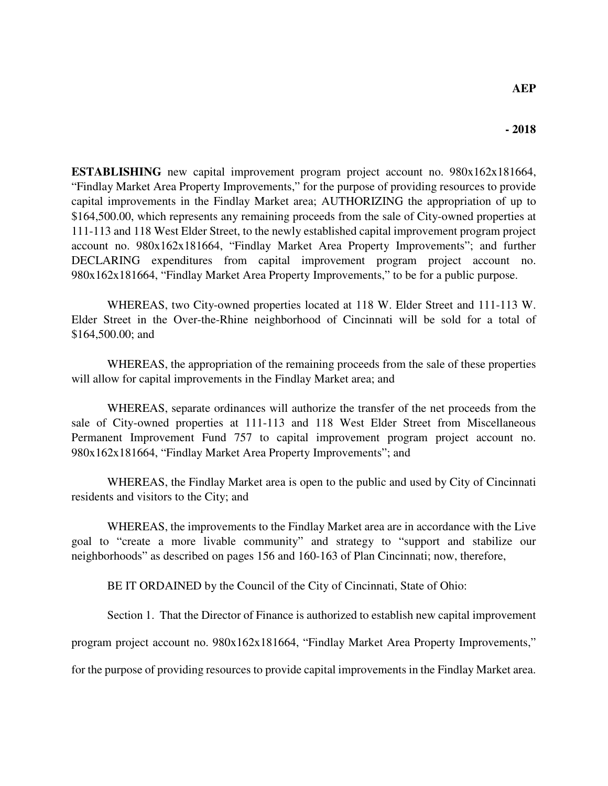**ESTABLISHING** new capital improvement program project account no. 980x162x181664, "Findlay Market Area Property Improvements," for the purpose of providing resources to provide capital improvements in the Findlay Market area; AUTHORIZING the appropriation of up to \$164,500.00, which represents any remaining proceeds from the sale of City-owned properties at 111-113 and 118 West Elder Street, to the newly established capital improvement program project account no. 980x162x181664, "Findlay Market Area Property Improvements"; and further DECLARING expenditures from capital improvement program project account no. 980x162x181664, "Findlay Market Area Property Improvements," to be for a public purpose.

WHEREAS, two City-owned properties located at 118 W. Elder Street and 111-113 W. Elder Street in the Over-the-Rhine neighborhood of Cincinnati will be sold for a total of \$164,500.00; and

WHEREAS, the appropriation of the remaining proceeds from the sale of these properties will allow for capital improvements in the Findlay Market area; and

WHEREAS, separate ordinances will authorize the transfer of the net proceeds from the sale of City-owned properties at 111-113 and 118 West Elder Street from Miscellaneous Permanent Improvement Fund 757 to capital improvement program project account no. 980x162x181664, "Findlay Market Area Property Improvements"; and

WHEREAS, the Findlay Market area is open to the public and used by City of Cincinnati residents and visitors to the City; and

WHEREAS, the improvements to the Findlay Market area are in accordance with the Live goal to "create a more livable community" and strategy to "support and stabilize our neighborhoods" as described on pages 156 and 160-163 of Plan Cincinnati; now, therefore,

BE IT ORDAINED by the Council of the City of Cincinnati, State of Ohio:

Section 1. That the Director of Finance is authorized to establish new capital improvement

program project account no. 980x162x181664, "Findlay Market Area Property Improvements,"

for the purpose of providing resources to provide capital improvements in the Findlay Market area.